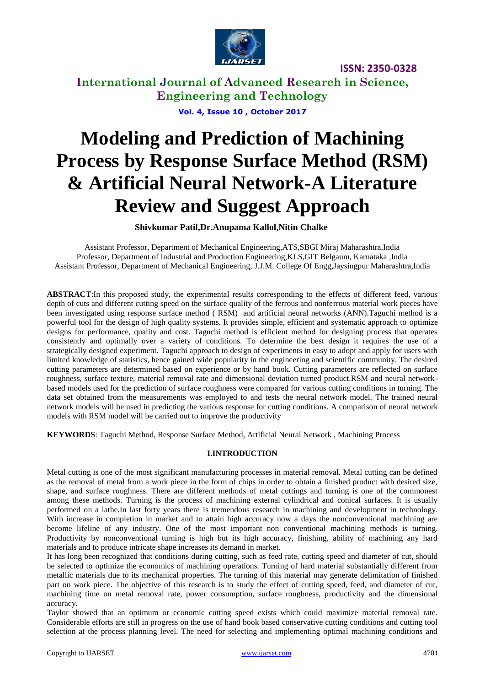

**International Journal of Advanced Research in Science, Engineering and Technology**

**Vol. 4, Issue 10 , October 2017**

# **Modeling and Prediction of Machining Process by Response Surface Method (RSM) & Artificial Neural Network-A Literature Review and Suggest Approach**

**Shivkumar Patil,Dr.Anupama Kallol,Nitin Chalke**

Assistant Professor, Department of Mechanical Engineering,ATS,SBGI Miraj Maharashtra,India Professor, Department of Industrial and Production Engineering,KLS,GIT Belgaum, Karnataka ,India Assistant Professor, Department of Mechanical Engineering, J.J.M. College Of Engg,Jaysingpur Maharashtra,India

**ABSTRACT**:In this proposed study, the experimental results corresponding to the effects of different feed, various depth of cuts and different cutting speed on the surface quality of the ferrous and nonferrous material work pieces have been investigated using response surface method ( RSM) and artificial neural networks (ANN).Taguchi method is a powerful tool for the design of high quality systems. It provides simple, efficient and systematic approach to optimize designs for performance, quality and cost. Taguchi method is efficient method for designing process that operates consistently and optimally over a variety of conditions. To determine the best design it requires the use of a strategically designed experiment. Taguchi approach to design of experiments in easy to adopt and apply for users with limited knowledge of statistics, hence gained wide popularity in the engineering and scientific community. The desired cutting parameters are determined based on experience or by hand book. Cutting parameters are reflected on surface roughness, surface texture, material removal rate and dimensional deviation turned product.RSM and neural networkbased models used for the prediction of surface roughness were compared for various cutting conditions in turning. The data set obtained from the measurements was employed to and tests the neural network model. The trained neural network models will be used in predicting the various response for cutting conditions. A comparison of neural network models with RSM model will be carried out to improve the productivity

**KEYWORDS**: Taguchi Method, Response Surface Method, Artificial Neural Network , Machining Process

### **I.INTRODUCTION**

Metal cutting is one of the most significant manufacturing processes in material removal. Metal cutting can be defined as the removal of metal from a work piece in the form of chips in order to obtain a finished product with desired size, shape, and surface roughness. There are different methods of metal cuttings and turning is one of the commonest among these methods. Turning is the process of machining external cylindrical and conical surfaces. It is usually performed on a lathe.In last forty years there is tremendous research in machining and development in technology. With increase in completion in market and to attain high accuracy now a days the nonconventional machining are become lifeline of any industry. One of the most important non conventional machining methods is turning. Productivity by nonconventional turning is high but its high accuracy, finishing, ability of machining any hard materials and to produce intricate shape increases its demand in market.

It has long been recognized that conditions during cutting, such as feed rate, cutting speed and diameter of cut, should be selected to optimize the economics of machining operations. Turning of hard material substantially different from metallic materials due to its mechanical properties. The turning of this material may generate delimitation of finished part on work piece. The objective of this research is to study the effect of cutting speed, feed, and diameter of cut, machining time on metal removal rate, power consumption, surface roughness, productivity and the dimensional accuracy.

Taylor showed that an optimum or economic cutting speed exists which could maximize material removal rate. Considerable efforts are still in progress on the use of hand book based conservative cutting conditions and cutting tool selection at the process planning level. The need for selecting and implementing optimal machining conditions and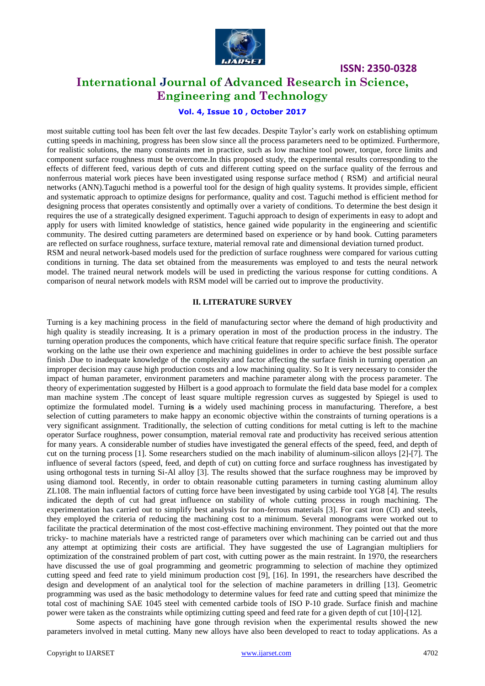

# **International Journal of Advanced Research in Science, Engineering and Technology**

### **Vol. 4, Issue 10 , October 2017**

most suitable cutting tool has been felt over the last few decades. Despite Taylor's early work on establishing optimum cutting speeds in machining, progress has been slow since all the process parameters need to be optimized. Furthermore, for realistic solutions, the many constraints met in practice, such as low machine tool power, torque, force limits and component surface roughness must be overcome.In this proposed study, the experimental results corresponding to the effects of different feed, various depth of cuts and different cutting speed on the surface quality of the ferrous and nonferrous material work pieces have been investigated using response surface method ( RSM) and artificial neural networks (ANN).Taguchi method is a powerful tool for the design of high quality systems. It provides simple, efficient and systematic approach to optimize designs for performance, quality and cost. Taguchi method is efficient method for designing process that operates consistently and optimally over a variety of conditions. To determine the best design it requires the use of a strategically designed experiment. Taguchi approach to design of experiments in easy to adopt and apply for users with limited knowledge of statistics, hence gained wide popularity in the engineering and scientific community. The desired cutting parameters are determined based on experience or by hand book. Cutting parameters are reflected on surface roughness, surface texture, material removal rate and dimensional deviation turned product. RSM and neural network-based models used for the prediction of surface roughness were compared for various cutting conditions in turning. The data set obtained from the measurements was employed to and tests the neural network model. The trained neural network models will be used in predicting the various response for cutting conditions. A

### **II. LITERATURE SURVEY**

comparison of neural network models with RSM model will be carried out to improve the productivity.

Turning is a key machining process in the field of manufacturing sector where the demand of high productivity and high quality is steadily increasing. It is a primary operation in most of the production process in the industry. The turning operation produces the components, which have critical feature that require specific surface finish. The operator working on the lathe use their own experience and machining guidelines in order to achieve the best possible surface finish .Due to inadequate knowledge of the complexity and factor affecting the surface finish in turning operation ,an improper decision may cause high production costs and a low machining quality. So It is very necessary to consider the impact of human parameter, environment parameters and machine parameter along with the process parameter. The theory of experimentation suggested by Hilbert is a good approach to formulate the field data base model for a complex man machine system .The concept of least square multiple regression curves as suggested by Spiegel is used to optimize the formulated model. Turning **is** a widely used machining process in manufacturing. Therefore, a best selection of cutting parameters to make happy an economic objective within the constraints of turning operations is a very significant assignment. Traditionally, the selection of cutting conditions for metal cutting is left to the machine operator Surface roughness, power consumption, material removal rate and productivity has received serious attention for many years. A considerable number of studies have investigated the general effects of the speed, feed, and depth of cut on the turning process [1]. Some researchers studied on the mach inability of aluminum-silicon alloys [2]-[7]. The influence of several factors (speed, feed, and depth of cut) on cutting force and surface roughness has investigated by using orthogonal tests in turning Si-Al alloy [3]. The results showed that the surface roughness may be improved by using diamond tool. Recently, in order to obtain reasonable cutting parameters in turning casting aluminum alloy ZL108. The main influential factors of cutting force have been investigated by using carbide tool YG8 [4]. The results indicated the depth of cut had great influence on stability of whole cutting process in rough machining. The experimentation has carried out to simplify best analysis for non-ferrous materials [3]. For cast iron (CI) and steels, they employed the criteria of reducing the machining cost to a minimum. Several monograms were worked out to facilitate the practical determination of the most cost-effective machining environment. They pointed out that the more tricky- to machine materials have a restricted range of parameters over which machining can be carried out and thus any attempt at optimizing their costs are artificial. They have suggested the use of Lagrangian multipliers for optimization of the constrained problem of part cost, with cutting power as the main restraint. In 1970, the researchers have discussed the use of goal programming and geometric programming to selection of machine they optimized cutting speed and feed rate to yield minimum production cost [9], [16]. In 1991, the researchers have described the design and development of an analytical tool for the selection of machine parameters in drilling [13]. Geometric programming was used as the basic methodology to determine values for feed rate and cutting speed that minimize the total cost of machining SAE 1045 steel with cemented carbide tools of ISO P-10 grade. Surface finish and machine power were taken as the constraints while optimizing cutting speed and feed rate for a given depth of cut [10]-[12].

Some aspects of machining have gone through revision when the experimental results showed the new parameters involved in metal cutting. Many new alloys have also been developed to react to today applications. As a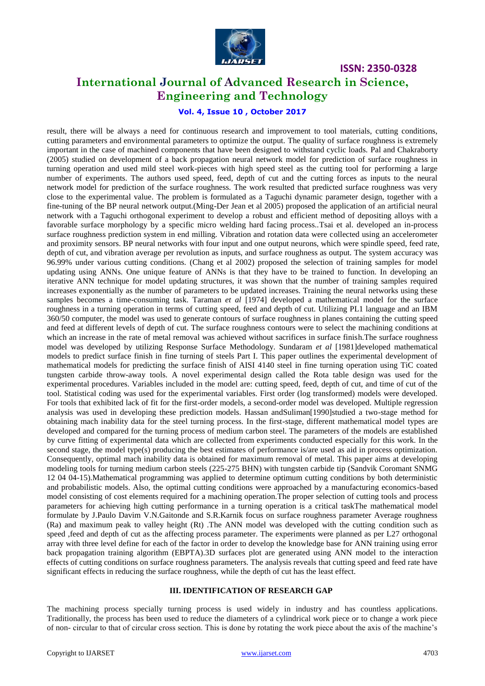

# **International Journal of Advanced Research in Science, Engineering and Technology**

### **Vol. 4, Issue 10 , October 2017**

result, there will be always a need for continuous research and improvement to tool materials, cutting conditions, cutting parameters and environmental parameters to optimize the output. The quality of surface roughness is extremely important in the case of machined components that have been designed to withstand cyclic loads. Pal and Chakraborty (2005) studied on development of a back propagation neural network model for prediction of surface roughness in turning operation and used mild steel work-pieces with high speed steel as the cutting tool for performing a large number of experiments. The authors used speed, feed, depth of cut and the cutting forces as inputs to the neural network model for prediction of the surface roughness. The work resulted that predicted surface roughness was very close to the experimental value. The problem is formulated as a Taguchi dynamic parameter design, together with a fine-tuning of the BP neural network output.(Ming-Der Jean et al 2005) proposed the application of an artificial neural network with a Taguchi orthogonal experiment to develop a robust and efficient method of depositing alloys with a favorable surface morphology by a specific micro welding hard facing process..Tsai et al. developed an in-process surface roughness prediction system in end milling. Vibration and rotation data were collected using an accelerometer and proximity sensors. BP neural networks with four input and one output neurons, which were spindle speed, feed rate, depth of cut, and vibration average per revolution as inputs, and surface roughness as output. The system accuracy was 96.99% under various cutting conditions. (Chang et al 2002) proposed the selection of training samples for model updating using ANNs. One unique feature of ANNs is that they have to be trained to function. In developing an iterative ANN technique for model updating structures, it was shown that the number of training samples required increases exponentially as the number of parameters to be updated increases. Training the neural networks using these samples becomes a time-consuming task. Taraman *et al* [1974] developed a mathematical model for the surface roughness in a turning operation in terms of cutting speed, feed and depth of cut. Utilizing PL1 language and an IBM 360/50 computer, the model was used to generate contours of surface roughness in planes containing the cutting speed and feed at different levels of depth of cut. The surface roughness contours were to select the machining conditions at which an increase in the rate of metal removal was achieved without sacrifices in surface finish. The surface roughness model was developed by utilizing Response Surface Methodology. Sundaram *et al* [1981]developed mathematical models to predict surface finish in fine turning of steels Part I. This paper outlines the experimental development of mathematical models for predicting the surface finish of AISI 4140 steel in fine turning operation using TiC coated tungsten carbide throw-away tools. A novel experimental design called the Rota table design was used for the experimental procedures. Variables included in the model are: cutting speed, feed, depth of cut, and time of cut of the tool. Statistical coding was used for the experimental variables. First order (log transformed) models were developed. For tools that exhibited lack of fit for the first-order models, a second-order model was developed. Multiple regression analysis was used in developing these prediction models. Hassan andSuliman[1990]studied a two-stage method for obtaining mach inability data for the steel turning process. In the first-stage, different mathematical model types are developed and compared for the turning process of medium carbon steel. The parameters of the models are established by curve fitting of experimental data which are collected from experiments conducted especially for this work. In the second stage, the model type(s) producing the best estimates of performance is/are used as aid in process optimization. Consequently, optimal mach inability data is obtained for maximum removal of metal. This paper aims at developing modeling tools for turning medium carbon steels (225-275 BHN) with tungsten carbide tip (Sandvik Coromant SNMG 12 04 04-15).Mathematical programming was applied to determine optimum cutting conditions by both deterministic and probabilistic models. Also, the optimal cutting conditions were approached by a manufacturing economics-based model consisting of cost elements required for a machining operation.The proper selection of cutting tools and process parameters for achieving high cutting performance in a turning operation is a critical taskThe mathematical model formulate by J.Paulo Davim V.N.Gaitonde and S.R.Karnik focus on surface roughness parameter Average roughness (Ra) and maximum peak to valley height (Rt) .The ANN model was developed with the cutting condition such as speed ,feed and depth of cut as the affecting process parameter. The experiments were planned as per L27 orthogonal array with three level define for each of the factor in order to develop the knowledge base for ANN training using error back propagation training algorithm (EBPTA).3D surfaces plot are generated using ANN model to the interaction effects of cutting conditions on surface roughness parameters. The analysis reveals that cutting speed and feed rate have significant effects in reducing the surface roughness, while the depth of cut has the least effect.

### **III. IDENTIFICATION OF RESEARCH GAP**

The machining process specially turning process is used widely in industry and has countless applications. Traditionally, the process has been used to reduce the diameters of a cylindrical work piece or to change a work piece of non- circular to that of circular cross section. This is done by rotating the work piece about the axis of the machine's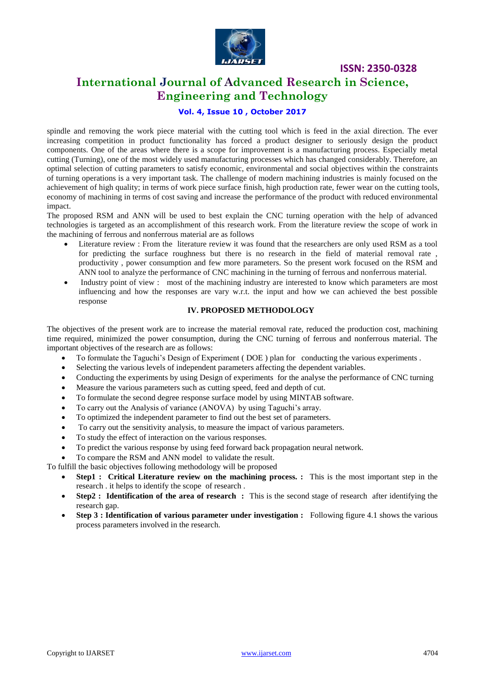

# **International Journal of Advanced Research in Science, Engineering and Technology**

### **Vol. 4, Issue 10 , October 2017**

spindle and removing the work piece material with the cutting tool which is feed in the axial direction. The ever increasing competition in product functionality has forced a product designer to seriously design the product components. One of the areas where there is a scope for improvement is a manufacturing process. Especially metal cutting (Turning), one of the most widely used manufacturing processes which has changed considerably. Therefore, an optimal selection of cutting parameters to satisfy economic, environmental and social objectives within the constraints of turning operations is a very important task. The challenge of modern machining industries is mainly focused on the achievement of high quality; in terms of work piece surface finish, high production rate, fewer wear on the cutting tools, economy of machining in terms of cost saving and increase the performance of the product with reduced environmental impact.

The proposed RSM and ANN will be used to best explain the CNC turning operation with the help of advanced technologies is targeted as an accomplishment of this research work. From the literature review the scope of work in the machining of ferrous and nonferrous material are as follows

- Literature review : From the literature review it was found that the researchers are only used RSM as a tool for predicting the surface roughness but there is no research in the field of material removal rate , productivity , power consumption and few more parameters. So the present work focused on the RSM and ANN tool to analyze the performance of CNC machining in the turning of ferrous and nonferrous material.
- Industry point of view : most of the machining industry are interested to know which parameters are most influencing and how the responses are vary w.r.t. the input and how we can achieved the best possible response

### **IV. PROPOSED METHODOLOGY**

The objectives of the present work are to increase the material removal rate, reduced the production cost, machining time required, minimized the power consumption, during the CNC turning of ferrous and nonferrous material. The important objectives of the research are as follows:

- To formulate the Taguchi's Design of Experiment ( DOE ) plan for conducting the various experiments .
- Selecting the various levels of independent parameters affecting the dependent variables.
- Conducting the experiments by using Design of experiments for the analyse the performance of CNC turning
- Measure the various parameters such as cutting speed, feed and depth of cut.
- To formulate the second degree response surface model by using MINTAB software.
- To carry out the Analysis of variance (ANOVA) by using Taguchi's array.
- To optimized the independent parameter to find out the best set of parameters.
- To carry out the sensitivity analysis, to measure the impact of various parameters.
- To study the effect of interaction on the various responses.
- To predict the various response by using feed forward back propagation neural network.

To compare the RSM and ANN model to validate the result.

To fulfill the basic objectives following methodology will be proposed

- **Step1 : Critical Literature review on the machining process. :** This is the most important step in the research . it helps to identify the scope of research .
- **Step2 : Identification of the area of research :** This is the second stage of research after identifying the research gap.
- **Step 3 : Identification of various parameter under investigation :** Following figure 4.1 shows the various process parameters involved in the research.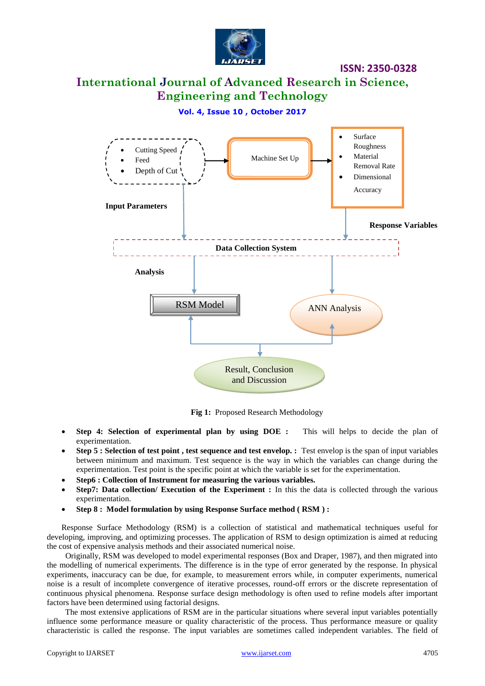

# **International Journal of Advanced Research in Science, Engineering and Technology**

**Vol. 4, Issue 10 , October 2017**



**Fig 1:** Proposed Research Methodology

- **Step 4: Selection of experimental plan by using DOE :** This will helps to decide the plan of experimentation.
- **Step 5 : Selection of test point , test sequence and test envelop. :** Test envelop is the span of input variables between minimum and maximum. Test sequence is the way in which the variables can change during the experimentation. Test point is the specific point at which the variable is set for the experimentation.
- **Step6 : Collection of Instrument for measuring the various variables.**
- **Step7: Data collection/ Execution of the Experiment :** In this the data is collected through the various experimentation.
- **Step 8 : Model formulation by using Response Surface method ( RSM ) :**

Response Surface Methodology (RSM) is a collection of statistical and mathematical techniques useful for developing, improving, and optimizing processes. The application of RSM to design optimization is aimed at reducing the cost of expensive analysis methods and their associated numerical noise.

 Originally, RSM was developed to model experimental responses (Box and Draper, 1987), and then migrated into the modelling of numerical experiments. The difference is in the type of error generated by the response. In physical experiments, inaccuracy can be due, for example, to measurement errors while, in computer experiments, numerical noise is a result of incomplete convergence of iterative processes, round-off errors or the discrete representation of continuous physical phenomena. Response surface design methodology is often used to refine models after important factors have been determined using factorial designs.

 The most extensive applications of RSM are in the particular situations where several input variables potentially influence some performance measure or quality characteristic of the process. Thus performance measure or quality characteristic is called the response. The input variables are sometimes called independent variables. The field of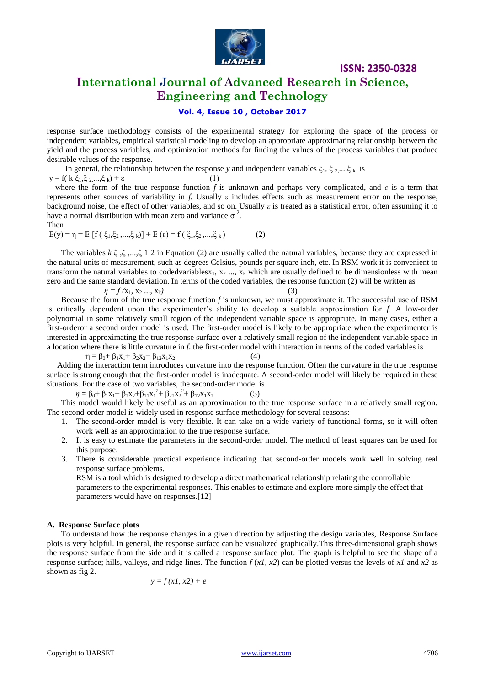

# **International Journal of Advanced Research in Science, Engineering and Technology**

### **Vol. 4, Issue 10 , October 2017**

response surface methodology consists of the experimental strategy for exploring the space of the process or independent variables, empirical statistical modeling to develop an appropriate approximating relationship between the yield and the process variables, and optimization methods for finding the values of the process variables that produce desirable values of the response.

In general, the relationship between the response *y* and independent variables  $\xi_1$ ,  $\xi_2$ ,..., $\xi_k$  is  $y = f(k \xi_1, \xi_2, ..., \xi_k) + \varepsilon$  (1)

 where the form of the true response function *f* is unknown and perhaps very complicated, and *ε* is a term that represents other sources of variability in *f.* Usually *ε* includes effects such as measurement error on the response, background noise, the effect of other variables, and so on. Usually *ε* is treated as a statistical error, often assuming it to have a normal distribution with mean zero and variance  $\sigma^2$ .

Then  
\n
$$
E(y) = \eta = E [f(\xi_1, \xi_2, ..., \xi_k)] + E (\epsilon) = f(\xi_1, \xi_2, ..., \xi_k)
$$
\n(2)

 The variables *k* ξ ,ξ ,...,ξ 1 2 in Equation (2) are usually called the natural variables, because they are expressed in the natural units of measurement, such as degrees Celsius, pounds per square inch, etc. In RSM work it is convenient to transform the natural variables to codedvariablesx<sub>1</sub>, x<sub>2</sub> ..., x<sub>k</sub> which are usually defined to be dimensionless with mean zero and the same standard deviation. In terms of the coded variables, the response function (2) will be written as

 $\eta = f(x_1, x_2, ..., x_k)$ 

$$
(3)
$$

 Because the form of the true response function *f* is unknown, we must approximate it. The successful use of RSM is critically dependent upon the experimenter's ability to develop a suitable approximation for *f*. A low-order polynomial in some relatively small region of the independent variable space is appropriate. In many cases, either a first-orderor a second order model is used. The first-order model is likely to be appropriate when the experimenter is interested in approximating the true response surface over a relatively small region of the independent variable space in a location where there is little curvature in *f*. the first-order model with interaction in terms of the coded variables is

 $\eta = \beta_0 + \beta_1 x_1 + \beta_2 x_2 + \beta_1 x_1 x_2$  (4)

 Adding the interaction term introduces curvature into the response function. Often the curvature in the true response surface is strong enough that the first-order model is inadequate. A second-order model will likely be required in these situations. For the case of two variables, the second-order model is

 $\eta = \beta_0 + \beta_1 x_1 + \beta_2 x_2 + \beta_{11} x_1^2 + \beta_{22} x_2^2 + \beta_{12} x_1 x_2$  (5)

 This model would likely be useful as an approximation to the true response surface in a relatively small region. The second-order model is widely used in response surface methodology for several reasons:

- 1. The second-order model is very flexible. It can take on a wide variety of functional forms, so it will often work well as an approximation to the true response surface.
- 2. It is easy to estimate the parameters in the second-order model. The method of least squares can be used for this purpose.
- 3. There is considerable practical experience indicating that second-order models work well in solving real response surface problems.

RSM is a tool which is designed to develop a direct mathematical relationship relating the controllable parameters to the experimental responses. This enables to estimate and explore more simply the effect that parameters would have on responses.[12]

### **A. Response Surface plots**

 To understand how the response changes in a given direction by adjusting the design variables, Response Surface plots is very helpful. In general, the response surface can be visualized graphically.This three-dimensional graph shows the response surface from the side and it is called a response surface plot. The graph is helpful to see the shape of a response surface; hills, valleys, and ridge lines. The function *f* (*x1, x2*) can be plotted versus the levels of *x1* and *x2* as shown as fig 2.

$$
y = f(xI, x2) + e
$$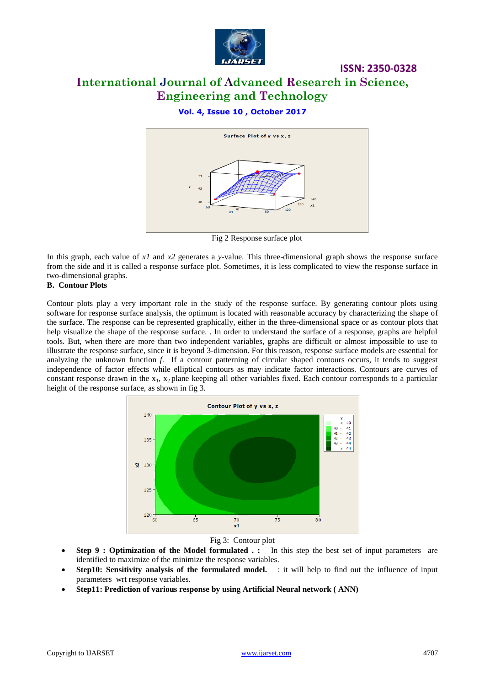

# **International Journal of Advanced Research in Science, Engineering and Technology**

**ISSN: 2350-0328**

### **Vol. 4, Issue 10 , October 2017**



Fig 2 Response surface plot

In this graph, each value of *x1* and *x2* generates a *y*-value. This three-dimensional graph shows the response surface from the side and it is called a response surface plot. Sometimes, it is less complicated to view the response surface in two-dimensional graphs.

### **B. Contour Plots**

Contour plots play a very important role in the study of the response surface. By generating contour plots using software for response surface analysis, the optimum is located with reasonable accuracy by characterizing the shape of the surface. The response can be represented graphically, either in the three-dimensional space or as contour plots that help visualize the shape of the response surface. . In order to understand the surface of a response, graphs are helpful tools. But, when there are more than two independent variables, graphs are difficult or almost impossible to use to illustrate the response surface, since it is beyond 3-dimension. For this reason, response surface models are essential for analyzing the unknown function *f*. If a contour patterning of circular shaped contours occurs, it tends to suggest independence of factor effects while elliptical contours as may indicate factor interactions. Contours are curves of constant response drawn in the  $x_1$ ,  $x_2$  plane keeping all other variables fixed. Each contour corresponds to a particular height of the response surface, as shown in fig 3.



### Fig 3: Contour plot

- Step 9 : Optimization of the Model formulated . : In this step the best set of input parameters are identified to maximize of the minimize the response variables.
- **Step10: Sensitivity analysis of the formulated model.** : it will help to find out the influence of input parameters wrt response variables.
- **Step11: Prediction of various response by using Artificial Neural network ( ANN)**